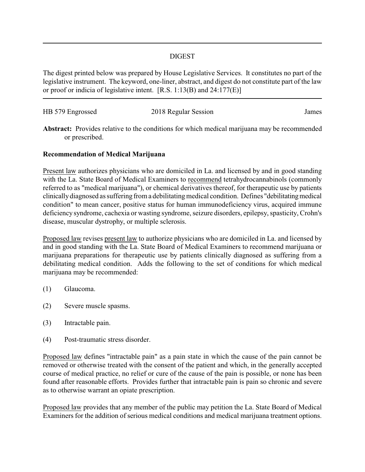## DIGEST

The digest printed below was prepared by House Legislative Services. It constitutes no part of the legislative instrument. The keyword, one-liner, abstract, and digest do not constitute part of the law or proof or indicia of legislative intent. [R.S. 1:13(B) and 24:177(E)]

| HB 579 Engrossed | 2018 Regular Session | James |
|------------------|----------------------|-------|
|                  |                      |       |

**Abstract:** Provides relative to the conditions for which medical marijuana may be recommended or prescribed.

## **Recommendation of Medical Marijuana**

Present law authorizes physicians who are domiciled in La. and licensed by and in good standing with the La. State Board of Medical Examiners to recommend tetrahydrocannabinols (commonly referred to as "medical marijuana"), or chemical derivatives thereof, for therapeutic use by patients clinicallydiagnosed as suffering from a debilitatingmedical condition. Defines "debilitatingmedical condition" to mean cancer, positive status for human immunodeficiency virus, acquired immune deficiency syndrome, cachexia or wasting syndrome, seizure disorders, epilepsy, spasticity, Crohn's disease, muscular dystrophy, or multiple sclerosis.

Proposed law revises present law to authorize physicians who are domiciled in La. and licensed by and in good standing with the La. State Board of Medical Examiners to recommend marijuana or marijuana preparations for therapeutic use by patients clinically diagnosed as suffering from a debilitating medical condition. Adds the following to the set of conditions for which medical marijuana may be recommended:

- (1) Glaucoma.
- (2) Severe muscle spasms.
- (3) Intractable pain.
- (4) Post-traumatic stress disorder.

Proposed law defines "intractable pain" as a pain state in which the cause of the pain cannot be removed or otherwise treated with the consent of the patient and which, in the generally accepted course of medical practice, no relief or cure of the cause of the pain is possible, or none has been found after reasonable efforts. Provides further that intractable pain is pain so chronic and severe as to otherwise warrant an opiate prescription.

Proposed law provides that any member of the public may petition the La. State Board of Medical Examiners for the addition of serious medical conditions and medical marijuana treatment options.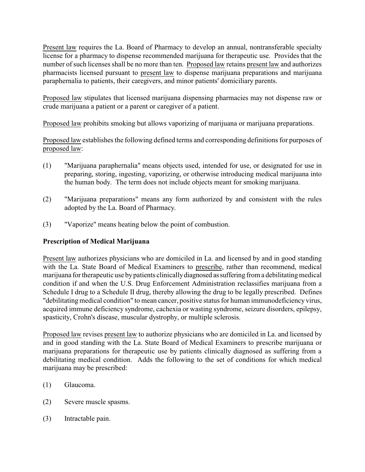Present law requires the La. Board of Pharmacy to develop an annual, nontransferable specialty license for a pharmacy to dispense recommended marijuana for therapeutic use. Provides that the number of such licenses shall be no more than ten. Proposed law retains present law and authorizes pharmacists licensed pursuant to present law to dispense marijuana preparations and marijuana paraphernalia to patients, their caregivers, and minor patients' domiciliary parents.

Proposed law stipulates that licensed marijuana dispensing pharmacies may not dispense raw or crude marijuana a patient or a parent or caregiver of a patient.

Proposed law prohibits smoking but allows vaporizing of marijuana or marijuana preparations.

Proposed law establishes the following defined terms and corresponding definitions for purposes of proposed law:

- (1) "Marijuana paraphernalia" means objects used, intended for use, or designated for use in preparing, storing, ingesting, vaporizing, or otherwise introducing medical marijuana into the human body. The term does not include objects meant for smoking marijuana.
- (2) "Marijuana preparations" means any form authorized by and consistent with the rules adopted by the La. Board of Pharmacy.
- (3) "Vaporize" means heating below the point of combustion.

## **Prescription of Medical Marijuana**

Present law authorizes physicians who are domiciled in La. and licensed by and in good standing with the La. State Board of Medical Examiners to prescribe, rather than recommend, medical marijuana for therapeutic use by patients clinically diagnosed as suffering from a debilitating medical condition if and when the U.S. Drug Enforcement Administration reclassifies marijuana from a Schedule I drug to a Schedule II drug, thereby allowing the drug to be legally prescribed. Defines "debilitating medical condition" to mean cancer, positive status for human immunodeficiency virus, acquired immune deficiency syndrome, cachexia or wasting syndrome, seizure disorders, epilepsy, spasticity, Crohn's disease, muscular dystrophy, or multiple sclerosis.

Proposed law revises present law to authorize physicians who are domiciled in La. and licensed by and in good standing with the La. State Board of Medical Examiners to prescribe marijuana or marijuana preparations for therapeutic use by patients clinically diagnosed as suffering from a debilitating medical condition. Adds the following to the set of conditions for which medical marijuana may be prescribed:

- (1) Glaucoma.
- (2) Severe muscle spasms.
- (3) Intractable pain.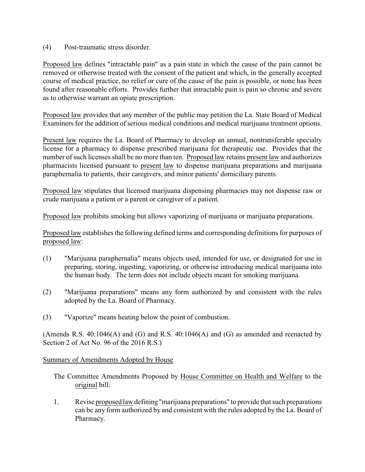(4) Post-traumatic stress disorder.

Proposed law defines "intractable pain" as a pain state in which the cause of the pain cannot be removed or otherwise treated with the consent of the patient and which, in the generally accepted course of medical practice, no relief or cure of the cause of the pain is possible, or none has been found after reasonable efforts. Provides further that intractable pain is pain so chronic and severe as to otherwise warrant an opiate prescription.

Proposed law provides that any member of the public may petition the La. State Board of Medical Examiners for the addition of serious medical conditions and medical marijuana treatment options.

Present law requires the La. Board of Pharmacy to develop an annual, nontransferable specialty license for a pharmacy to dispense prescribed marijuana for therapeutic use. Provides that the number of such licenses shall be no more than ten. Proposed law retains present law and authorizes pharmacists licensed pursuant to present law to dispense marijuana preparations and marijuana paraphernalia to patients, their caregivers, and minor patients' domiciliary parents.

Proposed law stipulates that licensed marijuana dispensing pharmacies may not dispense raw or crude marijuana a patient or a parent or caregiver of a patient.

Proposed law prohibits smoking but allows vaporizing of marijuana or marijuana preparations.

Proposed law establishes the following defined terms and corresponding definitions for purposes of proposed law:

- (1) "Marijuana paraphernalia" means objects used, intended for use, or designated for use in preparing, storing, ingesting, vaporizing, or otherwise introducing medical marijuana into the human body. The term does not include objects meant for smoking marijuana.
- (2) "Marijuana preparations" means any form authorized by and consistent with the rules adopted by the La. Board of Pharmacy.
- (3) "Vaporize" means heating below the point of combustion.

(Amends R.S.  $40:1046(A)$  and (G) and R.S.  $40:1046(A)$  and (G) as amended and reenacted by Section 2 of Act No. 96 of the 2016 R.S.)

## Summary of Amendments Adopted by House

- The Committee Amendments Proposed by House Committee on Health and Welfare to the original bill:
- 1. Revise proposed law defining "marijuana preparations" to provide that such preparations can be any form authorized by and consistent with the rules adopted by the La. Board of Pharmacy.